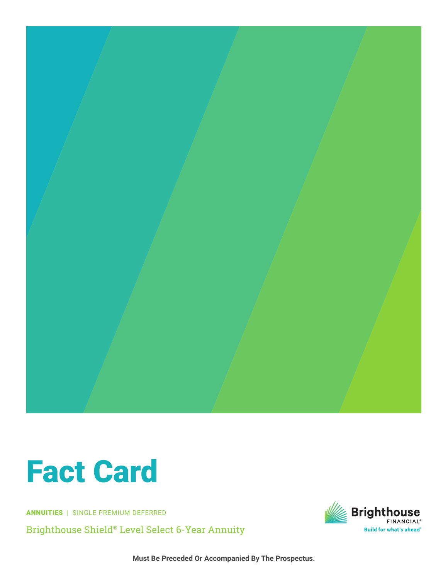

## **Fact Card**

**ANNUITIES** | SINGLE PREMIUM DEFERRED

Brighthouse Shield® Level Select 6-Year Annuity



Must Be Preceded Or Accompanied By The Prospectus.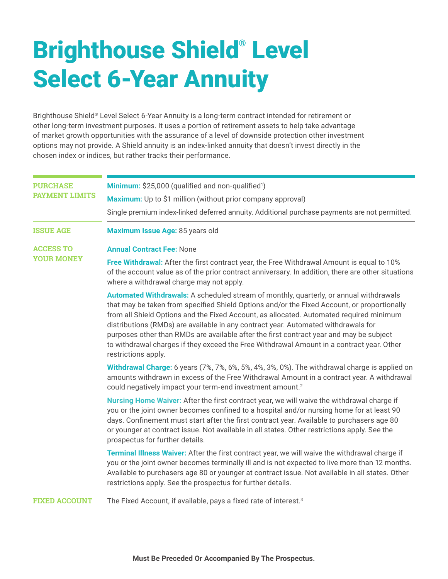## Brighthouse Shield® Level Select 6-Year Annuity

Brighthouse Shield® Level Select 6-Year Annuity is a long-term contract intended for retirement or other long-term investment purposes. It uses a portion of retirement assets to help take advantage of market growth opportunities with the assurance of a level of downside protection other investment options may not provide. A Shield annuity is an index-linked annuity that doesn't invest directly in the chosen index or indices, but rather tracks their performance.

| <b>PURCHASE</b><br><b>PAYMENT LIMITS</b> | Minimum: \$25,000 (qualified and non-qualified <sup>1</sup> )                                                                                                                                                                                                                                                                                                                                                                                                                                                                                                                         |
|------------------------------------------|---------------------------------------------------------------------------------------------------------------------------------------------------------------------------------------------------------------------------------------------------------------------------------------------------------------------------------------------------------------------------------------------------------------------------------------------------------------------------------------------------------------------------------------------------------------------------------------|
|                                          | Maximum: Up to \$1 million (without prior company approval)                                                                                                                                                                                                                                                                                                                                                                                                                                                                                                                           |
|                                          | Single premium index-linked deferred annuity. Additional purchase payments are not permitted.                                                                                                                                                                                                                                                                                                                                                                                                                                                                                         |
| <b>ISSUE AGE</b>                         | Maximum Issue Age: 85 years old                                                                                                                                                                                                                                                                                                                                                                                                                                                                                                                                                       |
| <b>ACCESS TO</b><br><b>YOUR MONEY</b>    | <b>Annual Contract Fee: None</b>                                                                                                                                                                                                                                                                                                                                                                                                                                                                                                                                                      |
|                                          | Free Withdrawal: After the first contract year, the Free Withdrawal Amount is equal to 10%<br>of the account value as of the prior contract anniversary. In addition, there are other situations<br>where a withdrawal charge may not apply.                                                                                                                                                                                                                                                                                                                                          |
|                                          | Automated Withdrawals: A scheduled stream of monthly, quarterly, or annual withdrawals<br>that may be taken from specified Shield Options and/or the Fixed Account, or proportionally<br>from all Shield Options and the Fixed Account, as allocated. Automated required minimum<br>distributions (RMDs) are available in any contract year. Automated withdrawals for<br>purposes other than RMDs are available after the first contract year and may be subject<br>to withdrawal charges if they exceed the Free Withdrawal Amount in a contract year. Other<br>restrictions apply. |
|                                          | Withdrawal Charge: 6 years (7%, 7%, 6%, 5%, 4%, 3%, 0%). The withdrawal charge is applied on<br>amounts withdrawn in excess of the Free Withdrawal Amount in a contract year. A withdrawal<br>could negatively impact your term-end investment amount. <sup>2</sup>                                                                                                                                                                                                                                                                                                                   |
|                                          | Nursing Home Waiver: After the first contract year, we will waive the withdrawal charge if<br>you or the joint owner becomes confined to a hospital and/or nursing home for at least 90<br>days. Confinement must start after the first contract year. Available to purchasers age 80<br>or younger at contract issue. Not available in all states. Other restrictions apply. See the<br>prospectus for further details.                                                                                                                                                              |
|                                          | Terminal Illness Waiver: After the first contract year, we will waive the withdrawal charge if<br>you or the joint owner becomes terminally ill and is not expected to live more than 12 months.<br>Available to purchasers age 80 or younger at contract issue. Not available in all states. Other<br>restrictions apply. See the prospectus for further details.                                                                                                                                                                                                                    |
| <b>FIXED ACCOUNT</b>                     | The Fixed Account, if available, pays a fixed rate of interest. <sup>3</sup>                                                                                                                                                                                                                                                                                                                                                                                                                                                                                                          |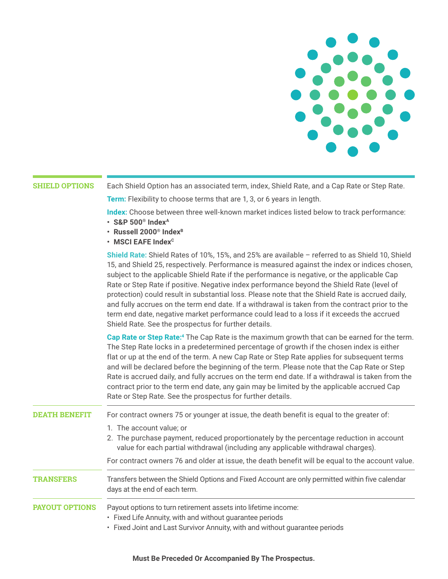

## **SHIELD OPTIONS**

Each Shield Option has an associated term, index, Shield Rate, and a Cap Rate or Step Rate.

**Term:** Flexibility to choose terms that are 1, 3, or 6 years in length.

Index: Choose between three well-known market indices listed below to track performance:

- $\cdot$  S&P 500<sup>®</sup> Index<sup>A</sup>
- · Russell 2000<sup>®</sup> Index<sup>B</sup>
- $\cdot$  MSCI EAFE Index<sup>c</sup>

Shield Rate: Shield Rates of 10%, 15%, and 25% are available - referred to as Shield 10, Shield 15, and Shield 25, respectively. Performance is measured against the index or indices chosen, subject to the applicable Shield Rate if the performance is negative, or the applicable Cap Rate or Step Rate if positive. Negative index performance beyond the Shield Rate (level of protection) could result in substantial loss. Please note that the Shield Rate is accrued daily, and fully accrues on the term end date. If a withdrawal is taken from the contract prior to the term end date, negative market performance could lead to a loss if it exceeds the accrued Shield Rate. See the prospectus for further details.

Cap Rate or Step Rate:<sup>4</sup> The Cap Rate is the maximum growth that can be earned for the term. The Step Rate locks in a predetermined percentage of growth if the chosen index is either flat or up at the end of the term. A new Cap Rate or Step Rate applies for subsequent terms and will be declared before the beginning of the term. Please note that the Cap Rate or Step Rate is accrued daily, and fully accrues on the term end date. If a withdrawal is taken from the contract prior to the term end date, any gain may be limited by the applicable accrued Cap Rate or Step Rate. See the prospectus for further details.

| <b>DEATH BENEFIT</b>  | For contract owners 75 or younger at issue, the death benefit is equal to the greater of:                                       |
|-----------------------|---------------------------------------------------------------------------------------------------------------------------------|
|                       | 1. The account value; or<br>2. The purchase payment, reduced proportionately by the percentage reduction in account             |
|                       | value for each partial withdrawal (including any applicable withdrawal charges).                                                |
|                       | For contract owners 76 and older at issue, the death benefit will be equal to the account value.                                |
| <b>TRANSFERS</b>      | Transfers between the Shield Options and Fixed Account are only permitted within five calendar<br>days at the end of each term. |
| <b>PAYOUT OPTIONS</b> | Payout options to turn retirement assets into lifetime income:                                                                  |
|                       | • Fixed Life Annuity, with and without guarantee periods                                                                        |
|                       | • Fixed Joint and Last Survivor Annuity, with and without quarantee periods                                                     |